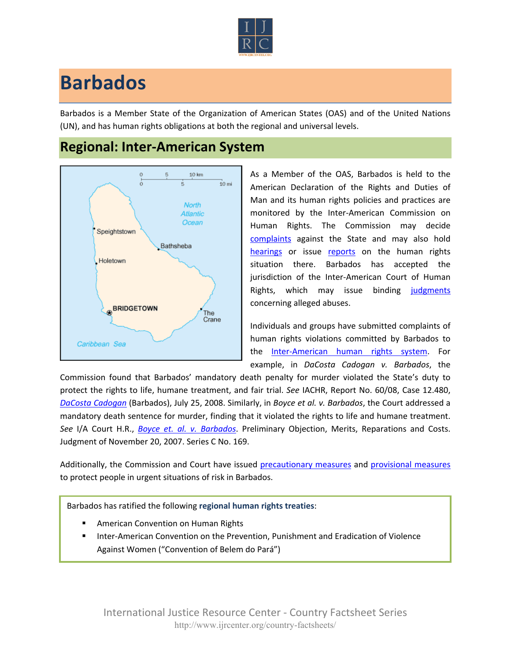

## **Barbados**

Barbados is a Member State of the Organization of American States (OAS) and of the United Nations (UN), and has human rights obligations at both the regional and universal levels.

## **Regional: Inter-American System**



As a Member of the OAS, Barbados is held to the American Declaration of the Rights and Duties of Man and its human rights policies and practices are monitored by the Inter-American Commission on Human Rights. The Commission may decide [complaints](http://www.oas.org/en/iachr/decisions/merits.asp) against the State and may also hold [hearings](http://www.oas.org/es/cidh/audiencias/advanced.aspx?lang=en) or issue [reports](http://www.oas.org/en/iachr/reports/country.asp) on the human rights situation there. Barbados has accepted the jurisdiction of the Inter-American Court of Human Rights, which may issue binding [judgments](http://www.corteidh.or.cr/cf/Jurisprudencia2/busqueda_casos_contenciosos.cfm?lang=en) concerning alleged abuses.

Individuals and groups have submitted complaints of human rights violations committed by Barbados to the [Inter-American human rights system](http://www.ijrcenter.org/regional/inter-american-system/). For example, in *DaCosta Cadogan v. Barbados*, the

Commission found that Barbados' mandatory death penalty for murder violated the State's duty to protect the rights to life, humane treatment, and fair trial. *See* IACHR, Report No. 60/08, Case 12.480, *[DaCosta Cadogan](http://www.cidh.oas.org/demandas/12.645%20Cadogan%20Barbados%2031%20oct%202008%20ENG.pdf)* (Barbados), July 25, 2008. Similarly, in *Boyce et al. v. Barbados*, the Court addressed a mandatory death sentence for murder, finding that it violated the rights to life and humane treatment. *See* I/A Court H.R., *[Boyce et. al.](http://www.corteidh.or.cr/docs/casos/articulos/seriec_169_ing.pdf) v. Barbados*. Preliminary Objection, Merits, Reparations and Costs. Judgment of November 20, 2007. Series C No. 169.

Additionally, the Commission and Court have issued [precautionary measures](http://www.cidh.org/medidas/2007.eng.htm) and [provisional measures](http://www.corteidh.or.cr/cf/Jurisprudencia2/busqueda_medidas_provisionales.cfm?lang=en) to protect people in urgent situations of risk in Barbados.

Barbados has ratified the following **regional human rights treaties**:

- American Convention on Human Rights
- Inter-American Convention on the Prevention, Punishment and Eradication of Violence Against Women ("Convention of Belem do Pará")